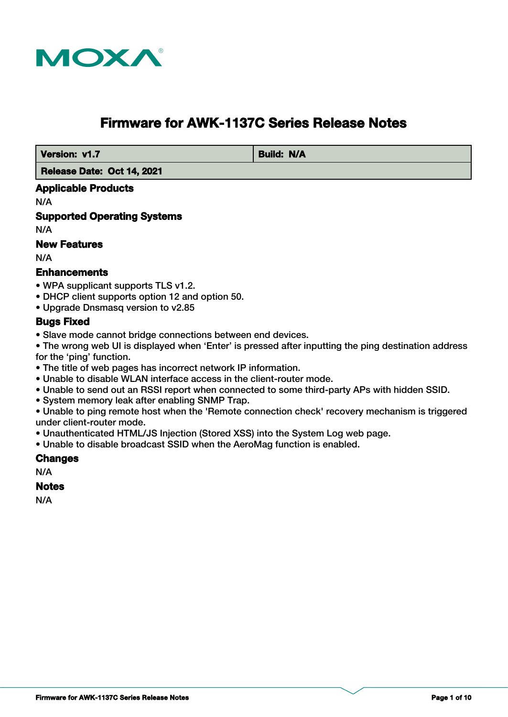

# **Firmware for AWK-1137C Series Release Notes**

**Version: v1.7** Build: N/A

 **Release Date: Oct 14, 2021**

## **Applicable Products**

N/A

**Supported Operating Systems**

N/A

## **New Features**

N/A

## **Enhancements**

- WPA supplicant supports TLS v1.2.
- DHCP client supports option 12 and option 50.
- Upgrade Dnsmasq version to v2.85

# **Bugs Fixed**

• Slave mode cannot bridge connections between end devices.

• The wrong web UI is displayed when 'Enter' is pressed after inputting the ping destination address for the 'ping' function.

- The title of web pages has incorrect network IP information.
- Unable to disable WLAN interface access in the client-router mode.
- Unable to send out an RSSI report when connected to some third-party APs with hidden SSID.
- System memory leak after enabling SNMP Trap.

• Unable to ping remote host when the 'Remote connection check' recovery mechanism is triggered under client-router mode.

- Unauthenticated HTML/JS Injection (Stored XSS) into the System Log web page.
- Unable to disable broadcast SSID when the AeroMag function is enabled.

#### **Changes**

N/A

#### **Notes**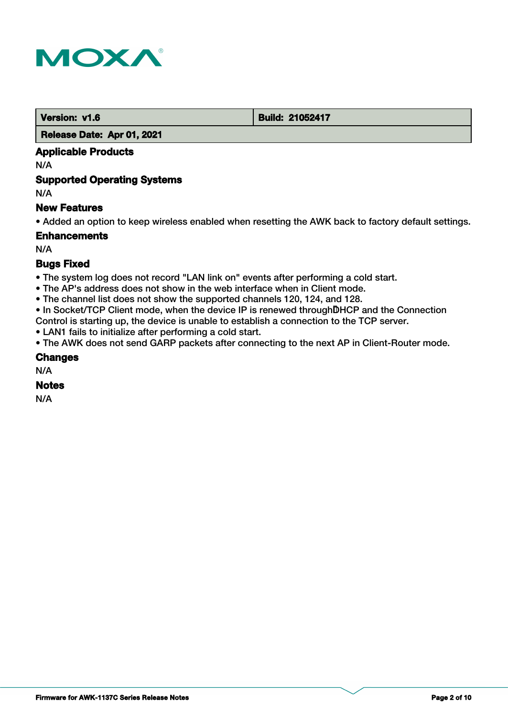

**Version: v1.6 Build: 21052417** 

#### **Release Date: Apr 01, 2021**

# **Applicable Products**

N/A

## **Supported Operating Systems**

N/A

## **New Features**

• Added an option to keep wireless enabled when resetting the AWK back to factory default settings.

## **Enhancements**

N/A

# **Bugs Fixed**

- The system log does not record "LAN link on" events after performing a cold start.
- The AP's address does not show in the web interface when in Client mode.
- The channel list does not show the supported channels 120, 124, and 128.
- In Socket/TCP Client mode, when the device IP is renewed through DHCP and the Connection
- Control is starting up, the device is unable to establish a connection to the TCP server.
- LAN1 fails to initialize after performing a cold start.
- The AWK does not send GARP packets after connecting to the next AP in Client-Router mode.

#### **Changes**

N/A

#### **Notes**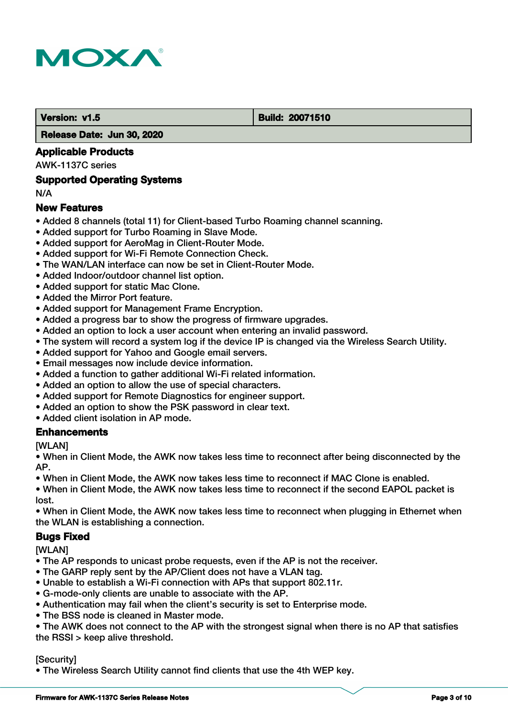

#### **Version: v1.5 Build: 20071510**

 **Release Date: Jun 30, 2020**

## **Applicable Products**

AWK-1137C series

## **Supported Operating Systems**

N/A

## **New Features**

- Added 8 channels (total 11) for Client-based Turbo Roaming channel scanning.
- Added support for Turbo Roaming in Slave Mode.
- Added support for AeroMag in Client-Router Mode.
- Added support for Wi-Fi Remote Connection Check.
- The WAN/LAN interface can now be set in Client-Router Mode.
- Added Indoor/outdoor channel list option.
- Added support for static Mac Clone.
- Added the Mirror Port feature.
- Added support for Management Frame Encryption.
- Added a progress bar to show the progress of firmware upgrades.
- Added an option to lock a user account when entering an invalid password.
- The system will record a system log if the device IP is changed via the Wireless Search Utility.
- Added support for Yahoo and Google email servers.
- Email messages now include device information.
- Added a function to gather additional Wi-Fi related information.
- Added an option to allow the use of special characters.
- Added support for Remote Diagnostics for engineer support.
- Added an option to show the PSK password in clear text.
- Added client isolation in AP mode.

#### **Enhancements**

[WLAN]

• When in Client Mode, the AWK now takes less time to reconnect after being disconnected by the AP.

• When in Client Mode, the AWK now takes less time to reconnect if MAC Clone is enabled.

• When in Client Mode, the AWK now takes less time to reconnect if the second EAPOL packet is lost.

• When in Client Mode, the AWK now takes less time to reconnect when plugging in Ethernet when the WLAN is establishing a connection.

#### **Bugs Fixed**

**[WLAN]** 

- The AP responds to unicast probe requests, even if the AP is not the receiver.
- The GARP reply sent by the AP/Client does not have a VLAN tag.
- Unable to establish a Wi-Fi connection with APs that support 802.11r.
- G-mode-only clients are unable to associate with the AP.
- Authentication may fail when the client's security is set to Enterprise mode.
- The BSS node is cleaned in Master mode.

• The AWK does not connect to the AP with the strongest signal when there is no AP that satisfies the RSSI > keep alive threshold.

#### [Security]

• The Wireless Search Utility cannot find clients that use the 4th WEP key.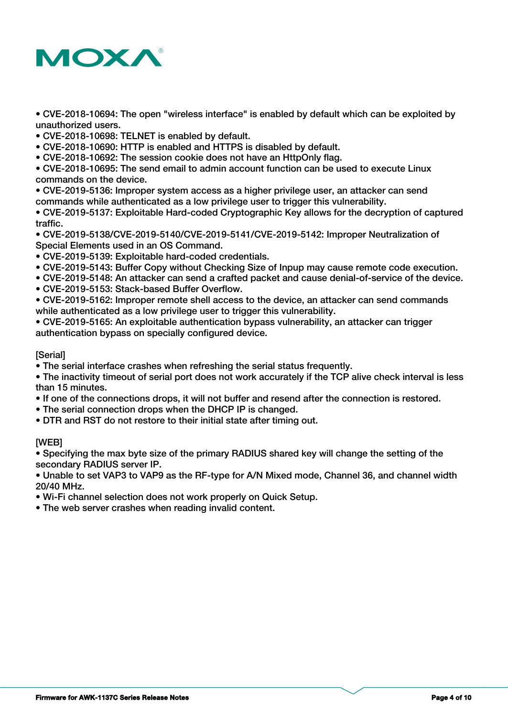

• CVE-2018-10694: The open "wireless interface" is enabled by default which can be exploited by unauthorized users.

• CVE-2018-10698: TELNET is enabled by default.

- CVE-2018-10690: HTTP is enabled and HTTPS is disabled by default.
- CVE-2018-10692: The session cookie does not have an HttpOnly flag.

• CVE-2018-10695: The send email to admin account function can be used to execute Linux commands on the device.

• CVE-2019-5136: Improper system access as a higher privilege user, an attacker can send commands while authenticated as a low privilege user to trigger this vulnerability.

• CVE-2019-5137: Exploitable Hard-coded Cryptographic Key allows for the decryption of captured traffic.

• CVE-2019-5138/CVE-2019-5140/CVE-2019-5141/CVE-2019-5142: Improper Neutralization of Special Elements used in an OS Command.

- CVE-2019-5139: Exploitable hard-coded credentials.
- CVE-2019-5143: Buffer Copy without Checking Size of Inpup may cause remote code execution.
- CVE-2019-5148: An attacker can send a crafted packet and cause denial-of-service of the device.
- CVE-2019-5153: Stack-based Buffer Overflow.

• CVE-2019-5162: Improper remote shell access to the device, an attacker can send commands while authenticated as a low privilege user to trigger this vulnerability.

• CVE-2019-5165: An exploitable authentication bypass vulnerability, an attacker can trigger authentication bypass on specially configured device.

#### [Serial]

• The serial interface crashes when refreshing the serial status frequently.

• The inactivity timeout of serial port does not work accurately if the TCP alive check interval is less than 15 minutes.

- If one of the connections drops, it will not buffer and resend after the connection is restored.
- The serial connection drops when the DHCP IP is changed.
- DTR and RST do not restore to their initial state after timing out.

#### [WEB]

• Specifying the max byte size of the primary RADIUS shared key will change the setting of the secondary RADIUS server IP.

• Unable to set VAP3 to VAP9 as the RF-type for A/N Mixed mode, Channel 36, and channel width 20/40 MHz.

• Wi-Fi channel selection does not work properly on Quick Setup.

• The web server crashes when reading invalid content.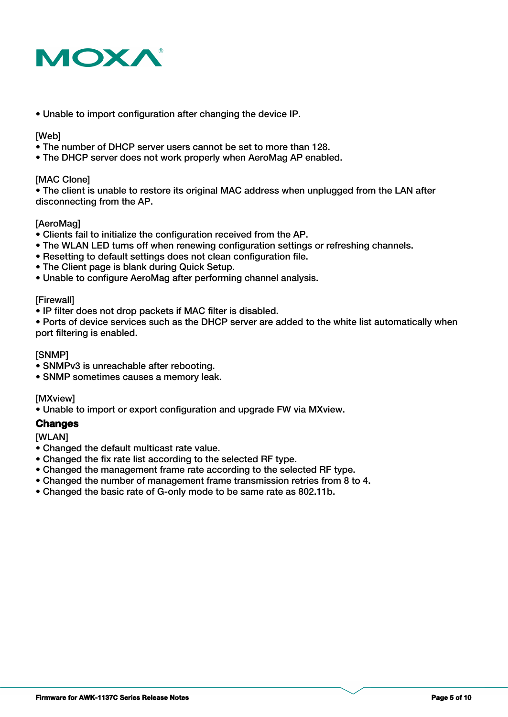

• Unable to import configuration after changing the device IP.

#### [Web]

- The number of DHCP server users cannot be set to more than 128.
- The DHCP server does not work properly when AeroMag AP enabled.

#### [MAC Clone]

• The client is unable to restore its original MAC address when unplugged from the LAN after disconnecting from the AP.

#### **[AeroMag]**

- Clients fail to initialize the configuration received from the AP.
- The WLAN LED turns off when renewing configuration settings or refreshing channels.
- Resetting to default settings does not clean configuration file.
- The Client page is blank during Quick Setup.
- Unable to configure AeroMag after performing channel analysis.

#### **[Firewall]**

• IP filter does not drop packets if MAC filter is disabled.

• Ports of device services such as the DHCP server are added to the white list automatically when port filtering is enabled.

#### [SNMP]

- SNMPv3 is unreachable after rebooting.
- SNMP sometimes causes a memory leak.

[MXview]

• Unable to import or export configuration and upgrade FW via MXview.

## **Changes**

[WLAN]

- Changed the default multicast rate value.
- Changed the fix rate list according to the selected RF type.
- Changed the management frame rate according to the selected RF type.
- Changed the number of management frame transmission retries from 8 to 4.
- Changed the basic rate of G-only mode to be same rate as 802.11b.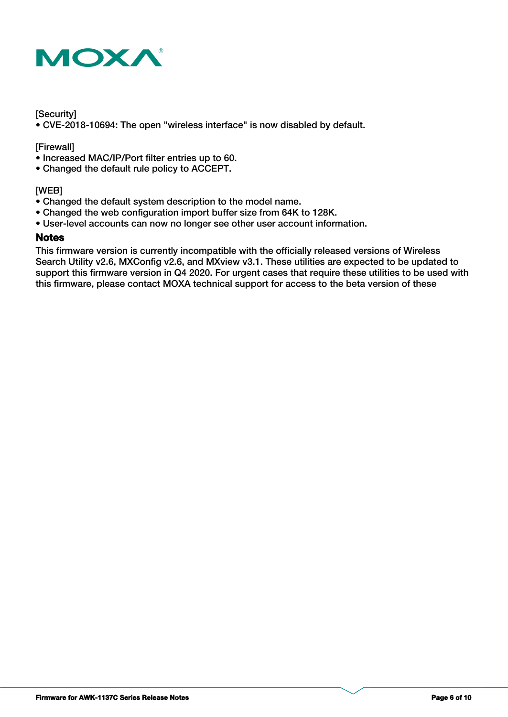

#### **[Security]**

• CVE-2018-10694: The open "wireless interface" is now disabled by default.

[Firewall]

- Increased MAC/IP/Port filter entries up to 60.
- Changed the default rule policy to ACCEPT.

#### [WEB]

- Changed the default system description to the model name.
- Changed the web configuration import buffer size from 64K to 128K.
- User-level accounts can now no longer see other user account information.

#### **Notes**

This firmware version is currently incompatible with the officially released versions of Wireless Search Utility v2.6, MXConfig v2.6, and MXview v3.1. These utilities are expected to be updated to support this firmware version in Q4 2020. For urgent cases that require these utilities to be used with this firmware, please contact MOXA technical support for access to the beta version of these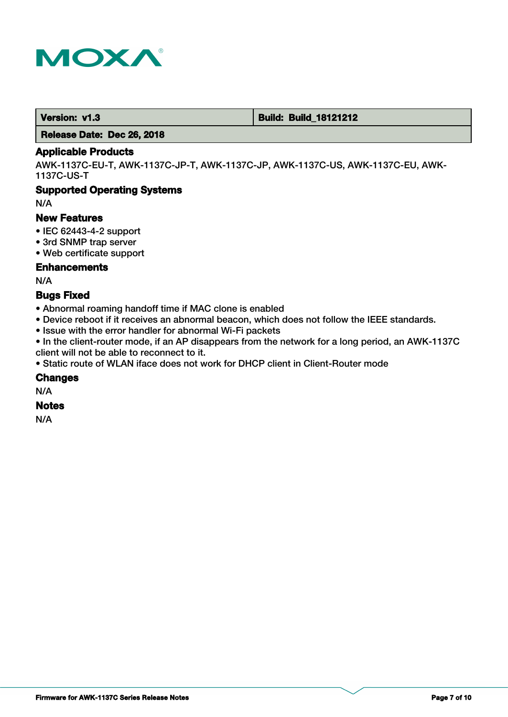

 **Version: v1.3 Build: Build: Build: 18121212** 

 **Release Date: Dec 26, 2018**

# **Applicable Products**

AWK-1137C-EU-T, AWK-1137C-JP-T, AWK-1137C-JP, AWK-1137C-US, AWK-1137C-EU, AWK-1137C-US-T

## **Supported Operating Systems**

N/A

#### **New Features**

- IEC 62443-4-2 support
- 3rd SNMP trap server
- Web certificate support

## **Enhancements**

N/A

# **Bugs Fixed**

- Abnormal roaming handoff time if MAC clone is enabled
- Device reboot if it receives an abnormal beacon, which does not follow the IEEE standards.
- Issue with the error handler for abnormal Wi-Fi packets

• In the client-router mode, if an AP disappears from the network for a long period, an AWK-1137C client will not be able to reconnect to it.

• Static route of WLAN iface does not work for DHCP client in Client-Router mode

#### **Changes**

N/A

# **Notes**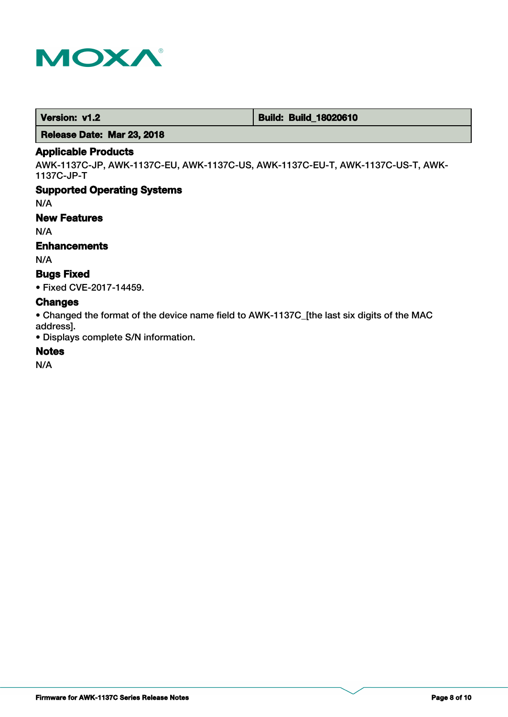

 **Version: v1.2 Build: Build: Build: 18020610** 

 **Release Date: Mar 23, 2018**

## **Applicable Products**

AWK-1137C-JP, AWK-1137C-EU, AWK-1137C-US, AWK-1137C-EU-T, AWK-1137C-US-T, AWK-1137C-JP-T

## **Supported Operating Systems**

N/A

## **New Features**

N/A

# **Enhancements**

N/A

# **Bugs Fixed**

• Fixed CVE-2017-14459.

## **Changes**

• Changed the format of the device name field to AWK-1137C\_[the last six digits of the MAC address].

• Displays complete S/N information.

# **Notes**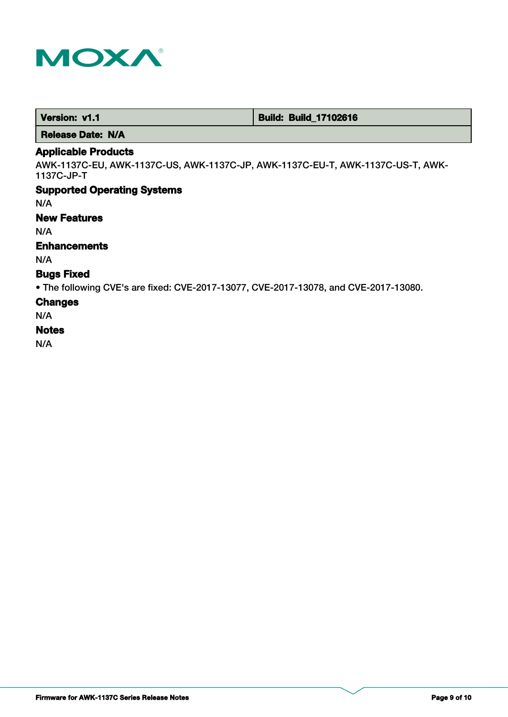

 **Version: v1.1 1.1 Build: Build: Build: 17102616** 

 **Release Date: N/A**

## **Applicable Products**

AWK-1137C-EU, AWK-1137C-US, AWK-1137C-JP, AWK-1137C-EU-T, AWK-1137C-US-T, AWK-1137C-JP-T

# **Supported Operating Systems**

N/A

## **New Features**

N/A

# **Enhancements**

N/A

# **Bugs Fixed**

• The following CVE's are fixed: CVE-2017-13077, CVE-2017-13078, and CVE-2017-13080.

#### **Changes**

N/A

#### **Notes**